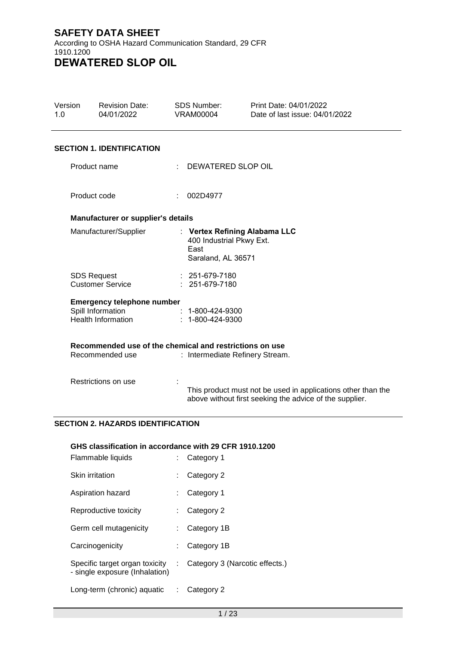| Version<br>1.0 | <b>Revision Date:</b><br>04/01/2022                                        | <b>SDS Number:</b><br><b>VRAM00004</b>                                                  | Print Date: 04/01/2022<br>Date of last issue: 04/01/2022                                                                |
|----------------|----------------------------------------------------------------------------|-----------------------------------------------------------------------------------------|-------------------------------------------------------------------------------------------------------------------------|
|                | <b>SECTION 1. IDENTIFICATION</b>                                           |                                                                                         |                                                                                                                         |
|                | Product name                                                               | DEWATERED SLOP OIL                                                                      |                                                                                                                         |
|                | Product code                                                               | 002D4977                                                                                |                                                                                                                         |
|                | Manufacturer or supplier's details                                         |                                                                                         |                                                                                                                         |
|                | Manufacturer/Supplier                                                      | : Vertex Refining Alabama LLC<br>400 Industrial Pkwy Ext.<br>East<br>Saraland, AL 36571 |                                                                                                                         |
|                | <b>SDS Request</b><br><b>Customer Service</b>                              | $: 251-679-7180$<br>$: 251-679-7180$                                                    |                                                                                                                         |
|                | <b>Emergency telephone number</b>                                          |                                                                                         |                                                                                                                         |
|                | Spill Information<br><b>Health Information</b>                             | $: 1 - 800 - 424 - 9300$<br>$: 1 - 800 - 424 - 9300$                                    |                                                                                                                         |
|                | Recommended use of the chemical and restrictions on use<br>Recommended use | : Intermediate Refinery Stream.                                                         |                                                                                                                         |
|                | Restrictions on use                                                        |                                                                                         | This product must not be used in applications other than the<br>above without first seeking the advice of the supplier. |

# **SECTION 2. HAZARDS IDENTIFICATION**

# **GHS classification in accordance with 29 CFR 1910.1200**

| Flammable liquids                                                |    | Category 1                     |
|------------------------------------------------------------------|----|--------------------------------|
| <b>Skin irritation</b>                                           | t. | Category 2                     |
| Aspiration hazard                                                |    | Category 1                     |
| Reproductive toxicity                                            | t. | Category 2                     |
| Germ cell mutagenicity                                           |    | Category 1B                    |
| Carcinogenicity                                                  |    | Category 1B                    |
| Specific target organ toxicity<br>- single exposure (Inhalation) | ÷  | Category 3 (Narcotic effects.) |
| Long-term (chronic) aquatic                                      | ÷  | Category 2                     |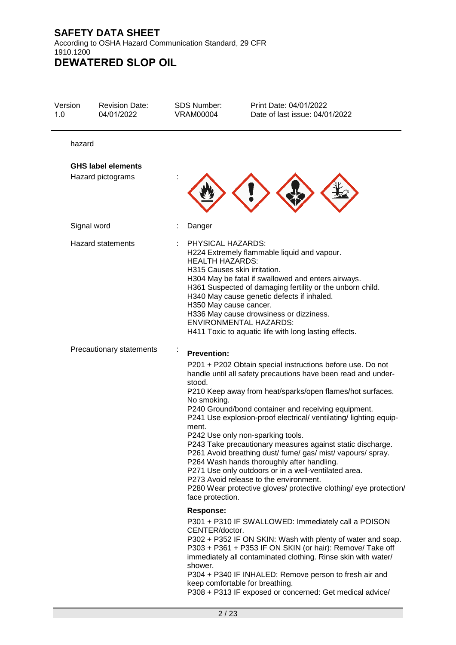According to OSHA Hazard Communication Standard, 29 CFR 1910.1200 **DEWATERED SLOP OIL**

| Version<br>1.0 | <b>Revision Date:</b><br>04/01/2022            | <b>SDS Number:</b><br><b>VRAM00004</b>                                                                | Print Date: 04/01/2022<br>Date of last issue: 04/01/2022                                                                                                                                                                                                                                                                                                                                                                                                                                                                                                                                                                                                                                                    |
|----------------|------------------------------------------------|-------------------------------------------------------------------------------------------------------|-------------------------------------------------------------------------------------------------------------------------------------------------------------------------------------------------------------------------------------------------------------------------------------------------------------------------------------------------------------------------------------------------------------------------------------------------------------------------------------------------------------------------------------------------------------------------------------------------------------------------------------------------------------------------------------------------------------|
| hazard         |                                                |                                                                                                       |                                                                                                                                                                                                                                                                                                                                                                                                                                                                                                                                                                                                                                                                                                             |
|                | <b>GHS label elements</b><br>Hazard pictograms |                                                                                                       |                                                                                                                                                                                                                                                                                                                                                                                                                                                                                                                                                                                                                                                                                                             |
|                | Signal word                                    | Danger                                                                                                |                                                                                                                                                                                                                                                                                                                                                                                                                                                                                                                                                                                                                                                                                                             |
|                | <b>Hazard statements</b>                       | PHYSICAL HAZARDS:<br><b>HEALTH HAZARDS:</b><br>H315 Causes skin irritation.<br>H350 May cause cancer. | H224 Extremely flammable liquid and vapour.<br>H304 May be fatal if swallowed and enters airways.<br>H361 Suspected of damaging fertility or the unborn child.<br>H340 May cause genetic defects if inhaled.<br>H336 May cause drowsiness or dizziness.<br><b>ENVIRONMENTAL HAZARDS:</b><br>H411 Toxic to aquatic life with long lasting effects.                                                                                                                                                                                                                                                                                                                                                           |
|                | Precautionary statements                       | <b>Prevention:</b><br>stood.<br>No smoking.<br>ment.<br>face protection.                              | P201 + P202 Obtain special instructions before use. Do not<br>handle until all safety precautions have been read and under-<br>P210 Keep away from heat/sparks/open flames/hot surfaces.<br>P240 Ground/bond container and receiving equipment.<br>P241 Use explosion-proof electrical/ ventilating/ lighting equip-<br>P242 Use only non-sparking tools.<br>P243 Take precautionary measures against static discharge.<br>P261 Avoid breathing dust/ fume/ gas/ mist/ vapours/ spray.<br>P264 Wash hands thoroughly after handling.<br>P271 Use only outdoors or in a well-ventilated area.<br>P273 Avoid release to the environment.<br>P280 Wear protective gloves/ protective clothing/ eye protection/ |
|                |                                                | <b>Response:</b><br>CENTER/doctor.<br>shower.                                                         | P301 + P310 IF SWALLOWED: Immediately call a POISON<br>P302 + P352 IF ON SKIN: Wash with plenty of water and soap.<br>P303 + P361 + P353 IF ON SKIN (or hair): Remove/ Take off<br>immediately all contaminated clothing. Rinse skin with water/<br>P304 + P340 IF INHALED: Remove person to fresh air and<br>keep comfortable for breathing.<br>P308 + P313 IF exposed or concerned: Get medical advice/                                                                                                                                                                                                                                                                                                   |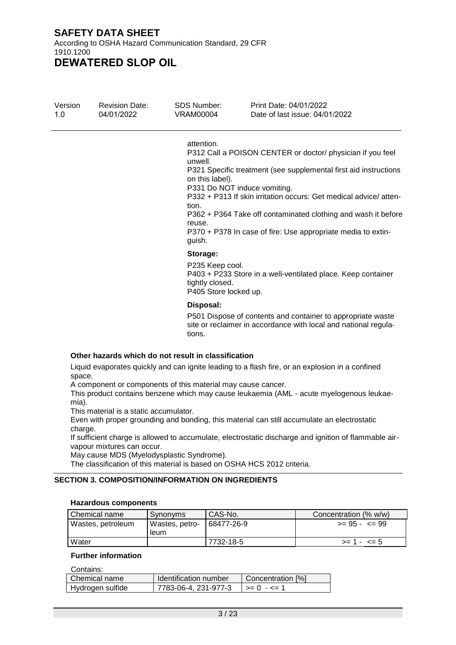According to OSHA Hazard Communication Standard, 29 CFR 1910.1200

**DEWATERED SLOP OIL**

| Version | <b>Revision Date:</b> | SDS Number: | Print Date: 04/01/2022         |
|---------|-----------------------|-------------|--------------------------------|
| 1 O     | 04/01/2022            | VRAM00004   | Date of last issue: 04/01/2022 |

#### attention.

P312 Call a POISON CENTER or doctor/ physician if you feel unwell.

P321 Specific treatment (see supplemental first aid instructions on this label).

P331 Do NOT induce vomiting.

P332 + P313 If skin irritation occurs: Get medical advice/ attention.

P362 + P364 Take off contaminated clothing and wash it before reuse.

P370 + P378 In case of fire: Use appropriate media to extinguish.

#### **Storage:**

P235 Keep cool. P403 + P233 Store in a well-ventilated place. Keep container tightly closed.

P405 Store locked up.

#### **Disposal:**

P501 Dispose of contents and container to appropriate waste site or reclaimer in accordance with local and national regulations.

#### **Other hazards which do not result in classification**

Liquid evaporates quickly and can ignite leading to a flash fire, or an explosion in a confined space.

A component or components of this material may cause cancer.

This product contains benzene which may cause leukaemia (AML - acute myelogenous leukaemia).

This material is a static accumulator.

Even with proper grounding and bonding, this material can still accumulate an electrostatic charge.

If sufficient charge is allowed to accumulate, electrostatic discharge and ignition of flammable airvapour mixtures can occur.

May cause MDS (Myelodysplastic Syndrome).

The classification of this material is based on OSHA HCS 2012 criteria.

#### **SECTION 3. COMPOSITION/INFORMATION ON INGREDIENTS**

#### **Hazardous components**

| Chemical name                       | Synonyms | CAS-No.    | Concentration (% w/w) |
|-------------------------------------|----------|------------|-----------------------|
| Wastes, petroleum<br>Wastes, petro- |          | 68477-26-9 | $>= 95 - 5 = 99$      |
|                                     | leum     |            |                       |
| Water                               |          | 7732-18-5  | $>= 1 - 5$            |

#### **Further information**

Contains:

| ---------        |                              |                                           |
|------------------|------------------------------|-------------------------------------------|
| Chemical name    | <b>Identification number</b> | Concentration [%]                         |
| Hydrogen sulfide | 7783-06-4. 231-977-3         | $\vert \rangle = 0 - \langle = 1 \rangle$ |
|                  |                              |                                           |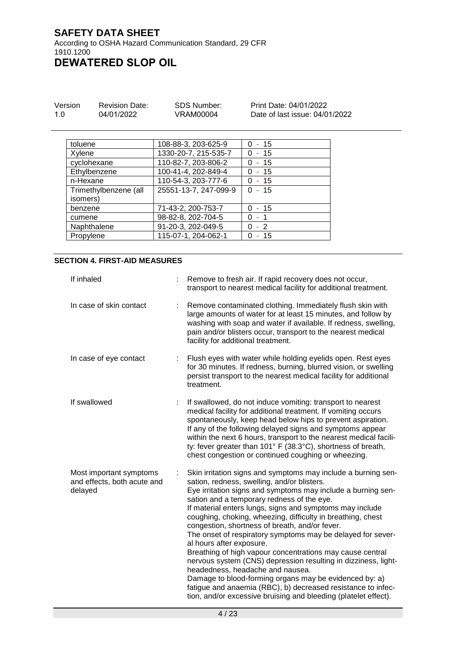1910.1200 **DEWATERED SLOP OIL**

| Version | <b>Revision Date:</b> | SDS Number: | Print Date: 04/01/2022         |
|---------|-----------------------|-------------|--------------------------------|
| 1.0     | 04/01/2022            | VRAM00004   | Date of last issue: 04/01/2022 |

| toluene               | 108-88-3, 203-625-9   | $0 - 15$             |
|-----------------------|-----------------------|----------------------|
| Xylene                | 1330-20-7, 215-535-7  | - 15<br><sup>0</sup> |
| cyclohexane           | 110-82-7, 203-806-2   | $-15$                |
| Ethylbenzene          | 100-41-4, 202-849-4   | - 15<br>0            |
| n-Hexane              | 110-54-3, 203-777-6   | $0 - 15$             |
| Trimethylbenzene (all | 25551-13-7, 247-099-9 | $0 - 15$             |
| isomers)              |                       |                      |
| benzene               | 71-43-2, 200-753-7    | $0 - 15$             |
| cumene                | 98-82-8, 202-704-5    | $0 - 1$              |
| Naphthalene           | 91-20-3, 202-049-5    | $-2$                 |
| Propylene             | 115-07-1, 204-062-1   | -15                  |

#### **SECTION 4. FIRST-AID MEASURES**

| If inhaled                                                        | Remove to fresh air. If rapid recovery does not occur,<br>transport to nearest medical facility for additional treatment.                                                                                                                                                                                                                                                                                                                                                                                                                                                                                                                                                                                                                                                                                                                                          |
|-------------------------------------------------------------------|--------------------------------------------------------------------------------------------------------------------------------------------------------------------------------------------------------------------------------------------------------------------------------------------------------------------------------------------------------------------------------------------------------------------------------------------------------------------------------------------------------------------------------------------------------------------------------------------------------------------------------------------------------------------------------------------------------------------------------------------------------------------------------------------------------------------------------------------------------------------|
| In case of skin contact                                           | Remove contaminated clothing. Immediately flush skin with<br>large amounts of water for at least 15 minutes, and follow by<br>washing with soap and water if available. If redness, swelling,<br>pain and/or blisters occur, transport to the nearest medical<br>facility for additional treatment.                                                                                                                                                                                                                                                                                                                                                                                                                                                                                                                                                                |
| In case of eye contact                                            | Flush eyes with water while holding eyelids open. Rest eyes<br>for 30 minutes. If redness, burning, blurred vision, or swelling<br>persist transport to the nearest medical facility for additional<br>treatment.                                                                                                                                                                                                                                                                                                                                                                                                                                                                                                                                                                                                                                                  |
| If swallowed                                                      | If swallowed, do not induce vomiting: transport to nearest<br>medical facility for additional treatment. If vomiting occurs<br>spontaneously, keep head below hips to prevent aspiration.<br>If any of the following delayed signs and symptoms appear<br>within the next 6 hours, transport to the nearest medical facili-<br>ty: fever greater than 101° F (38.3°C), shortness of breath,<br>chest congestion or continued coughing or wheezing.                                                                                                                                                                                                                                                                                                                                                                                                                 |
| Most important symptoms<br>and effects, both acute and<br>delayed | Skin irritation signs and symptoms may include a burning sen-<br>sation, redness, swelling, and/or blisters.<br>Eye irritation signs and symptoms may include a burning sen-<br>sation and a temporary redness of the eye.<br>If material enters lungs, signs and symptoms may include<br>coughing, choking, wheezing, difficulty in breathing, chest<br>congestion, shortness of breath, and/or fever.<br>The onset of respiratory symptoms may be delayed for sever-<br>al hours after exposure.<br>Breathing of high vapour concentrations may cause central<br>nervous system (CNS) depression resulting in dizziness, light-<br>headedness, headache and nausea.<br>Damage to blood-forming organs may be evidenced by: a)<br>fatigue and anaemia (RBC), b) decreased resistance to infec-<br>tion, and/or excessive bruising and bleeding (platelet effect). |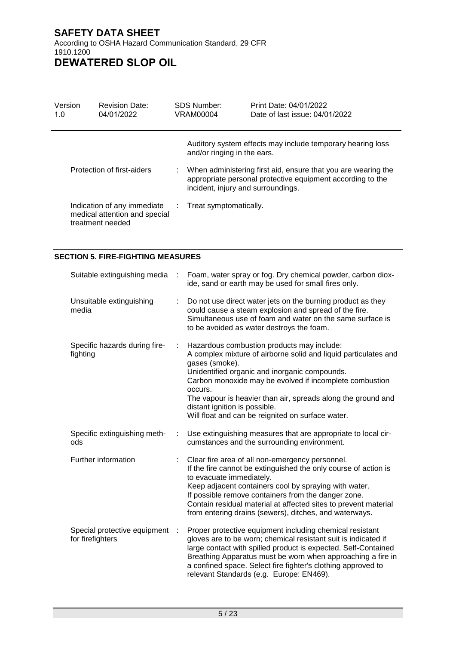Version 1.0 Revision Date: 04/01/2022 SDS Number: VRAM00004 Print Date: 04/01/2022 Date of last issue: 04/01/2022 Auditory system effects may include temporary hearing loss and/or ringing in the ears. Protection of first-aiders : When administering first aid, ensure that you are wearing the appropriate personal protective equipment according to the incident, injury and surroundings. Indication of any immediate medical attention and special treatment needed : Treat symptomatically.

#### **SECTION 5. FIRE-FIGHTING MEASURES**

| Suitable extinguishing media                     | $\sim 20$ | Foam, water spray or fog. Dry chemical powder, carbon diox-<br>ide, sand or earth may be used for small fires only.                                                                                                                                                                                                                                                                                          |
|--------------------------------------------------|-----------|--------------------------------------------------------------------------------------------------------------------------------------------------------------------------------------------------------------------------------------------------------------------------------------------------------------------------------------------------------------------------------------------------------------|
| Unsuitable extinguishing<br>media                |           | Do not use direct water jets on the burning product as they<br>could cause a steam explosion and spread of the fire.<br>Simultaneous use of foam and water on the same surface is<br>to be avoided as water destroys the foam.                                                                                                                                                                               |
| Specific hazards during fire-<br>fighting        | ÷         | Hazardous combustion products may include:<br>A complex mixture of airborne solid and liquid particulates and<br>gases (smoke).<br>Unidentified organic and inorganic compounds.<br>Carbon monoxide may be evolved if incomplete combustion<br>occurs.<br>The vapour is heavier than air, spreads along the ground and<br>distant ignition is possible.<br>Will float and can be reignited on surface water. |
| Specific extinguishing meth-<br>ods              | ÷         | Use extinguishing measures that are appropriate to local cir-<br>cumstances and the surrounding environment.                                                                                                                                                                                                                                                                                                 |
| Further information                              |           | Clear fire area of all non-emergency personnel.<br>If the fire cannot be extinguished the only course of action is<br>to evacuate immediately.<br>Keep adjacent containers cool by spraying with water.<br>If possible remove containers from the danger zone.<br>Contain residual material at affected sites to prevent material<br>from entering drains (sewers), ditches, and waterways.                  |
| Special protective equipment<br>for firefighters |           | Proper protective equipment including chemical resistant<br>gloves are to be worn; chemical resistant suit is indicated if<br>large contact with spilled product is expected. Self-Contained<br>Breathing Apparatus must be worn when approaching a fire in<br>a confined space. Select fire fighter's clothing approved to<br>relevant Standards (e.g. Europe: EN469).                                      |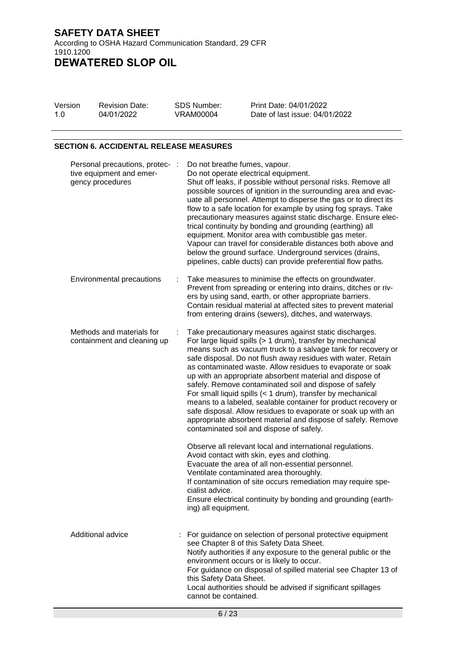VRAM00004

Version 1.0

Revision Date: 04/01/2022

SDS Number: Print Date: 04/01/2022 Date of last issue: 04/01/2022

## **SECTION 6. ACCIDENTAL RELEASE MEASURES**

| Personal precautions, protec-<br>tive equipment and emer-<br>gency procedures |   | Do not breathe fumes, vapour.<br>Do not operate electrical equipment.<br>Shut off leaks, if possible without personal risks. Remove all<br>possible sources of ignition in the surrounding area and evac-<br>uate all personnel. Attempt to disperse the gas or to direct its<br>flow to a safe location for example by using fog sprays. Take<br>precautionary measures against static discharge. Ensure elec-<br>trical continuity by bonding and grounding (earthing) all<br>equipment. Monitor area with combustible gas meter.<br>Vapour can travel for considerable distances both above and<br>below the ground surface. Underground services (drains,<br>pipelines, cable ducts) can provide preferential flow paths.                         |
|-------------------------------------------------------------------------------|---|-------------------------------------------------------------------------------------------------------------------------------------------------------------------------------------------------------------------------------------------------------------------------------------------------------------------------------------------------------------------------------------------------------------------------------------------------------------------------------------------------------------------------------------------------------------------------------------------------------------------------------------------------------------------------------------------------------------------------------------------------------|
| <b>Environmental precautions</b>                                              | ÷ | Take measures to minimise the effects on groundwater.<br>Prevent from spreading or entering into drains, ditches or riv-<br>ers by using sand, earth, or other appropriate barriers.<br>Contain residual material at affected sites to prevent material<br>from entering drains (sewers), ditches, and waterways.                                                                                                                                                                                                                                                                                                                                                                                                                                     |
| Methods and materials for<br>containment and cleaning up                      |   | Take precautionary measures against static discharges.<br>For large liquid spills (> 1 drum), transfer by mechanical<br>means such as vacuum truck to a salvage tank for recovery or<br>safe disposal. Do not flush away residues with water. Retain<br>as contaminated waste. Allow residues to evaporate or soak<br>up with an appropriate absorbent material and dispose of<br>safely. Remove contaminated soil and dispose of safely<br>For small liquid spills (< 1 drum), transfer by mechanical<br>means to a labeled, sealable container for product recovery or<br>safe disposal. Allow residues to evaporate or soak up with an<br>appropriate absorbent material and dispose of safely. Remove<br>contaminated soil and dispose of safely. |
|                                                                               |   | Observe all relevant local and international regulations.<br>Avoid contact with skin, eyes and clothing.<br>Evacuate the area of all non-essential personnel.<br>Ventilate contaminated area thoroughly.<br>If contamination of site occurs remediation may require spe-<br>cialist advice.<br>Ensure electrical continuity by bonding and grounding (earth-<br>ing) all equipment.                                                                                                                                                                                                                                                                                                                                                                   |
| Additional advice                                                             |   | For guidance on selection of personal protective equipment<br>see Chapter 8 of this Safety Data Sheet.<br>Notify authorities if any exposure to the general public or the<br>environment occurs or is likely to occur.<br>For guidance on disposal of spilled material see Chapter 13 of<br>this Safety Data Sheet.<br>Local authorities should be advised if significant spillages<br>cannot be contained.                                                                                                                                                                                                                                                                                                                                           |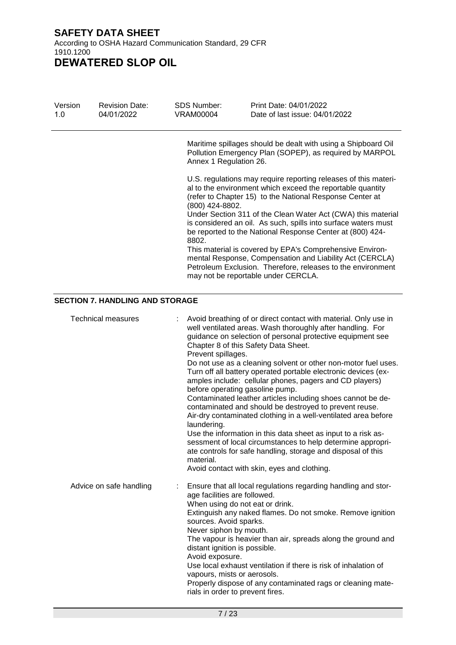| Version<br>1.0 | <b>Revision Date:</b><br>04/01/2022    | <b>SDS Number:</b><br><b>VRAM00004</b>                                                                                                                                                                                                     | Print Date: 04/01/2022<br>Date of last issue: 04/01/2022                                                                                                                                                                                                                                                                                                                                                                                                                                                                                                                                                                                                                                                                                                                                                                                                                     |
|----------------|----------------------------------------|--------------------------------------------------------------------------------------------------------------------------------------------------------------------------------------------------------------------------------------------|------------------------------------------------------------------------------------------------------------------------------------------------------------------------------------------------------------------------------------------------------------------------------------------------------------------------------------------------------------------------------------------------------------------------------------------------------------------------------------------------------------------------------------------------------------------------------------------------------------------------------------------------------------------------------------------------------------------------------------------------------------------------------------------------------------------------------------------------------------------------------|
|                |                                        | Annex 1 Regulation 26.                                                                                                                                                                                                                     | Maritime spillages should be dealt with using a Shipboard Oil<br>Pollution Emergency Plan (SOPEP), as required by MARPOL                                                                                                                                                                                                                                                                                                                                                                                                                                                                                                                                                                                                                                                                                                                                                     |
|                |                                        | (800) 424-8802.<br>8802.                                                                                                                                                                                                                   | U.S. regulations may require reporting releases of this materi-<br>al to the environment which exceed the reportable quantity<br>(refer to Chapter 15) to the National Response Center at<br>Under Section 311 of the Clean Water Act (CWA) this material<br>is considered an oil. As such, spills into surface waters must<br>be reported to the National Response Center at (800) 424-                                                                                                                                                                                                                                                                                                                                                                                                                                                                                     |
|                |                                        |                                                                                                                                                                                                                                            | This material is covered by EPA's Comprehensive Environ-<br>mental Response, Compensation and Liability Act (CERCLA)<br>Petroleum Exclusion. Therefore, releases to the environment<br>may not be reportable under CERCLA.                                                                                                                                                                                                                                                                                                                                                                                                                                                                                                                                                                                                                                                   |
|                | <b>SECTION 7. HANDLING AND STORAGE</b> |                                                                                                                                                                                                                                            |                                                                                                                                                                                                                                                                                                                                                                                                                                                                                                                                                                                                                                                                                                                                                                                                                                                                              |
|                | <b>Technical measures</b>              | Prevent spillages.<br>before operating gasoline pump.<br>laundering.<br>material.                                                                                                                                                          | Avoid breathing of or direct contact with material. Only use in<br>well ventilated areas. Wash thoroughly after handling. For<br>guidance on selection of personal protective equipment see<br>Chapter 8 of this Safety Data Sheet.<br>Do not use as a cleaning solvent or other non-motor fuel uses.<br>Turn off all battery operated portable electronic devices (ex-<br>amples include: cellular phones, pagers and CD players)<br>Contaminated leather articles including shoes cannot be de-<br>contaminated and should be destroyed to prevent reuse.<br>Air-dry contaminated clothing in a well-ventilated area before<br>Use the information in this data sheet as input to a risk as-<br>sessment of local circumstances to help determine appropri-<br>ate controls for safe handling, storage and disposal of this<br>Avoid contact with skin, eyes and clothing. |
|                | Advice on safe handling                | age facilities are followed.<br>When using do not eat or drink.<br>sources. Avoid sparks.<br>Never siphon by mouth.<br>distant ignition is possible.<br>Avoid exposure.<br>vapours, mists or aerosols.<br>rials in order to prevent fires. | Ensure that all local regulations regarding handling and stor-<br>Extinguish any naked flames. Do not smoke. Remove ignition<br>The vapour is heavier than air, spreads along the ground and<br>Use local exhaust ventilation if there is risk of inhalation of<br>Properly dispose of any contaminated rags or cleaning mate-                                                                                                                                                                                                                                                                                                                                                                                                                                                                                                                                               |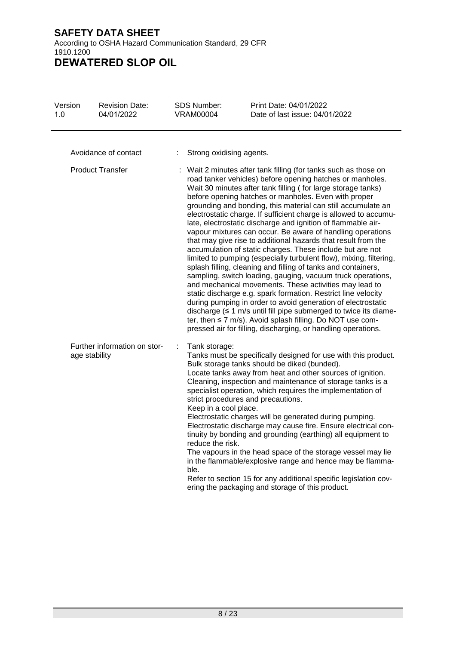| Version<br>1.0          | <b>Revision Date:</b><br>04/01/2022           | <b>SDS Number:</b><br><b>VRAM00004</b>                                                                                                                                                                                                                                                                                                                                                                                                                                                                                                                                                                                                                                                                                                                                                                                                                                                                                                                                                                                                                                                                                                                                                                                                                                   | Print Date: 04/01/2022<br>Date of last issue: 04/01/2022                                                                                                                                                                                                                                                                                                                                                                                                                                                                                                                                                                                                                                                                                                                                        |  |  |  |
|-------------------------|-----------------------------------------------|--------------------------------------------------------------------------------------------------------------------------------------------------------------------------------------------------------------------------------------------------------------------------------------------------------------------------------------------------------------------------------------------------------------------------------------------------------------------------------------------------------------------------------------------------------------------------------------------------------------------------------------------------------------------------------------------------------------------------------------------------------------------------------------------------------------------------------------------------------------------------------------------------------------------------------------------------------------------------------------------------------------------------------------------------------------------------------------------------------------------------------------------------------------------------------------------------------------------------------------------------------------------------|-------------------------------------------------------------------------------------------------------------------------------------------------------------------------------------------------------------------------------------------------------------------------------------------------------------------------------------------------------------------------------------------------------------------------------------------------------------------------------------------------------------------------------------------------------------------------------------------------------------------------------------------------------------------------------------------------------------------------------------------------------------------------------------------------|--|--|--|
|                         | Avoidance of contact                          | Strong oxidising agents.                                                                                                                                                                                                                                                                                                                                                                                                                                                                                                                                                                                                                                                                                                                                                                                                                                                                                                                                                                                                                                                                                                                                                                                                                                                 |                                                                                                                                                                                                                                                                                                                                                                                                                                                                                                                                                                                                                                                                                                                                                                                                 |  |  |  |
| <b>Product Transfer</b> |                                               | Wait 2 minutes after tank filling (for tanks such as those on<br>road tanker vehicles) before opening hatches or manholes.<br>Wait 30 minutes after tank filling (for large storage tanks)<br>before opening hatches or manholes. Even with proper<br>grounding and bonding, this material can still accumulate an<br>electrostatic charge. If sufficient charge is allowed to accumu-<br>late, electrostatic discharge and ignition of flammable air-<br>vapour mixtures can occur. Be aware of handling operations<br>that may give rise to additional hazards that result from the<br>accumulation of static charges. These include but are not<br>limited to pumping (especially turbulent flow), mixing, filtering,<br>splash filling, cleaning and filling of tanks and containers,<br>sampling, switch loading, gauging, vacuum truck operations,<br>and mechanical movements. These activities may lead to<br>static discharge e.g. spark formation. Restrict line velocity<br>during pumping in order to avoid generation of electrostatic<br>discharge $( \leq 1 \text{ m/s}$ until fill pipe submerged to twice its diame-<br>ter, then $\leq$ 7 m/s). Avoid splash filling. Do NOT use com-<br>pressed air for filling, discharging, or handling operations. |                                                                                                                                                                                                                                                                                                                                                                                                                                                                                                                                                                                                                                                                                                                                                                                                 |  |  |  |
|                         | Further information on stor-<br>age stability | Tank storage:<br>÷<br>Keep in a cool place.<br>reduce the risk.<br>ble.                                                                                                                                                                                                                                                                                                                                                                                                                                                                                                                                                                                                                                                                                                                                                                                                                                                                                                                                                                                                                                                                                                                                                                                                  | Tanks must be specifically designed for use with this product.<br>Bulk storage tanks should be diked (bunded).<br>Locate tanks away from heat and other sources of ignition.<br>Cleaning, inspection and maintenance of storage tanks is a<br>specialist operation, which requires the implementation of<br>strict procedures and precautions.<br>Electrostatic charges will be generated during pumping.<br>Electrostatic discharge may cause fire. Ensure electrical con-<br>tinuity by bonding and grounding (earthing) all equipment to<br>The vapours in the head space of the storage vessel may lie<br>in the flammable/explosive range and hence may be flamma-<br>Refer to section 15 for any additional specific legislation cov-<br>ering the packaging and storage of this product. |  |  |  |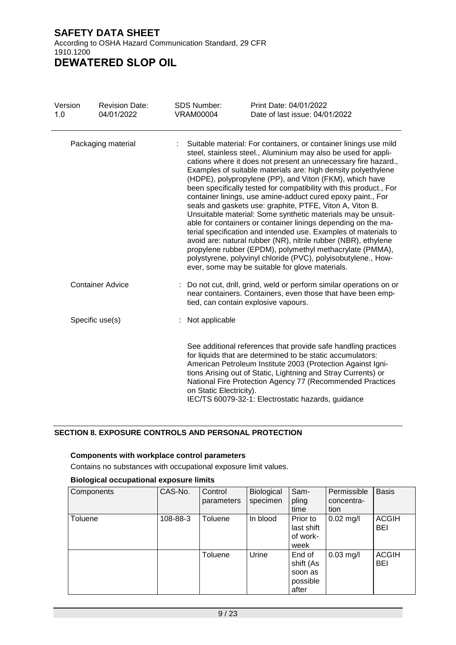| Version<br>1.0     | <b>Revision Date:</b><br>04/01/2022 | SDS Number:<br><b>VRAM00004</b> | Print Date: 04/01/2022<br>Date of last issue: 04/01/2022                                                                                                                                                                                                                                                                                                                                                                                                                                                                                                                                                                                                                                                                                                                                                                                                                                                                                                                                |  |  |  |  |
|--------------------|-------------------------------------|---------------------------------|-----------------------------------------------------------------------------------------------------------------------------------------------------------------------------------------------------------------------------------------------------------------------------------------------------------------------------------------------------------------------------------------------------------------------------------------------------------------------------------------------------------------------------------------------------------------------------------------------------------------------------------------------------------------------------------------------------------------------------------------------------------------------------------------------------------------------------------------------------------------------------------------------------------------------------------------------------------------------------------------|--|--|--|--|
| Packaging material |                                     |                                 | Suitable material: For containers, or container linings use mild<br>steel, stainless steel., Aluminium may also be used for appli-<br>cations where it does not present an unnecessary fire hazard.,<br>Examples of suitable materials are: high density polyethylene<br>(HDPE), polypropylene (PP), and Viton (FKM), which have<br>been specifically tested for compatibility with this product., For<br>container linings, use amine-adduct cured epoxy paint., For<br>seals and gaskets use: graphite, PTFE, Viton A, Viton B.<br>Unsuitable material: Some synthetic materials may be unsuit-<br>able for containers or container linings depending on the ma-<br>terial specification and intended use. Examples of materials to<br>avoid are: natural rubber (NR), nitrile rubber (NBR), ethylene<br>propylene rubber (EPDM), polymethyl methacrylate (PMMA),<br>polystyrene, polyvinyl chloride (PVC), polyisobutylene., How-<br>ever, some may be suitable for glove materials. |  |  |  |  |
|                    | <b>Container Advice</b>             |                                 | Do not cut, drill, grind, weld or perform similar operations on or<br>near containers. Containers, even those that have been emp-<br>tied, can contain explosive vapours.                                                                                                                                                                                                                                                                                                                                                                                                                                                                                                                                                                                                                                                                                                                                                                                                               |  |  |  |  |
|                    | Specific use(s)                     | Not applicable                  |                                                                                                                                                                                                                                                                                                                                                                                                                                                                                                                                                                                                                                                                                                                                                                                                                                                                                                                                                                                         |  |  |  |  |
|                    |                                     | on Static Electricity).         | See additional references that provide safe handling practices<br>for liquids that are determined to be static accumulators:<br>American Petroleum Institute 2003 (Protection Against Igni-<br>tions Arising out of Static, Lightning and Stray Currents) or<br>National Fire Protection Agency 77 (Recommended Practices<br>IEC/TS 60079-32-1: Electrostatic hazards, guidance                                                                                                                                                                                                                                                                                                                                                                                                                                                                                                                                                                                                         |  |  |  |  |

#### **SECTION 8. EXPOSURE CONTROLS AND PERSONAL PROTECTION**

#### **Components with workplace control parameters**

Contains no substances with occupational exposure limit values.

#### **Biological occupational exposure limits**

| Components | CAS-No.  | Control<br>parameters | Biological<br>specimen | Sam-<br>pling<br>time                               | Permissible<br>concentra-<br>tion | <b>Basis</b>        |
|------------|----------|-----------------------|------------------------|-----------------------------------------------------|-----------------------------------|---------------------|
| Toluene    | 108-88-3 | Toluene               | In blood               | Prior to<br>last shift<br>of work-<br>week          | $0.02$ mg/l                       | <b>ACGIH</b><br>BEI |
|            |          | Toluene               | Urine                  | End of<br>shift (As<br>soon as<br>possible<br>after | $0.03$ mg/l                       | <b>ACGIH</b><br>BEI |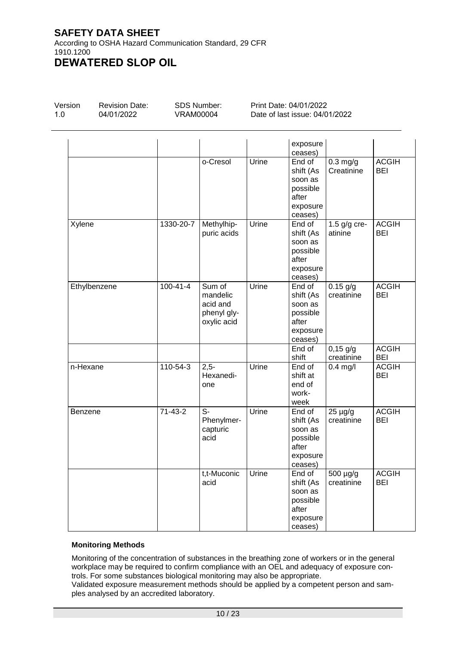According to OSHA Hazard Communication Standard, 29 CFR 1910.1200 **DEWATERED SLOP OIL**

| Version | Re  |
|---------|-----|
| 1.0     | 04/ |

vision Date: 04/01/2022

SDS Number: VRAM00004

Print Date: 04/01/2022 Date of last issue: 04/01/2022

|              |                |                                                              |       | exposure<br>ceases)                                                        |                            |                            |
|--------------|----------------|--------------------------------------------------------------|-------|----------------------------------------------------------------------------|----------------------------|----------------------------|
|              |                | o-Cresol                                                     | Urine | End of<br>shift (As<br>soon as<br>possible<br>after<br>exposure<br>ceases) | $0.3$ mg/g<br>Creatinine   | <b>ACGIH</b><br><b>BEI</b> |
| Xylene       | 1330-20-7      | Methylhip-<br>puric acids                                    | Urine | End of<br>shift (As<br>soon as<br>possible<br>after<br>exposure<br>ceases) | 1.5 $g/g$ cre-<br>atinine  | <b>ACGIH</b><br><b>BEI</b> |
| Ethylbenzene | $100 - 41 - 4$ | Sum of<br>mandelic<br>acid and<br>phenyl gly-<br>oxylic acid | Urine | End of<br>shift (As<br>soon as<br>possible<br>after<br>exposure<br>ceases) | $0.15$ g/g<br>creatinine   | <b>ACGIH</b><br><b>BEI</b> |
|              |                |                                                              |       | End of<br>shift                                                            | $0,15$ g/g<br>creatinine   | <b>ACGIH</b><br><b>BEI</b> |
| n-Hexane     | 110-54-3       | $2,5-$<br>Hexanedi-<br>one                                   | Urine | End of<br>shift at<br>end of<br>work-<br>week                              | $0.4$ mg/l                 | <b>ACGIH</b><br><b>BEI</b> |
| Benzene      | $71 - 43 - 2$  | $S-$<br>Phenylmer-<br>capturic<br>acid                       | Urine | End of<br>shift (As<br>soon as<br>possible<br>after<br>exposure<br>ceases) | $25 \mu g/g$<br>creatinine | <b>ACGIH</b><br><b>BEI</b> |
|              |                | t,t-Muconic<br>acid                                          | Urine | End of<br>shift (As<br>soon as<br>possible<br>after<br>exposure<br>ceases) | 500 µg/g<br>creatinine     | <b>ACGIH</b><br><b>BEI</b> |

#### **Monitoring Methods**

Monitoring of the concentration of substances in the breathing zone of workers or in the general workplace may be required to confirm compliance with an OEL and adequacy of exposure controls. For some substances biological monitoring may also be appropriate.

Validated exposure measurement methods should be applied by a competent person and samples analysed by an accredited laboratory.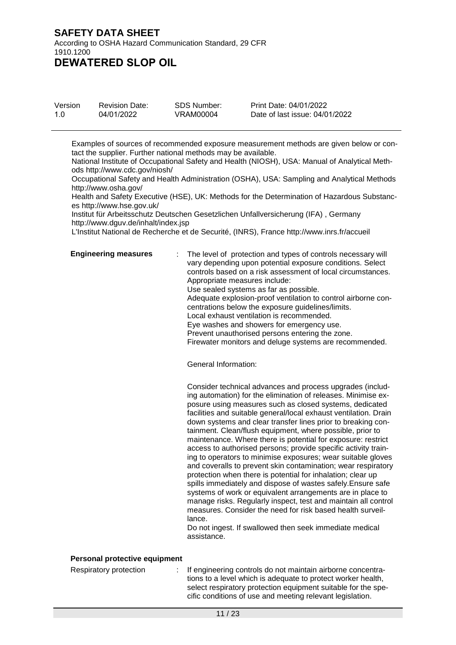| Version | <b>Revision Date:</b> | SDS Number: | Print Date: 04/01/2022         |
|---------|-----------------------|-------------|--------------------------------|
| 1.0     | 04/01/2022            | VRAM00004   | Date of last issue: 04/01/2022 |

Examples of sources of recommended exposure measurement methods are given below or contact the supplier. Further national methods may be available.

National Institute of Occupational Safety and Health (NIOSH), USA: Manual of Analytical Methods http://www.cdc.gov/niosh/

Occupational Safety and Health Administration (OSHA), USA: Sampling and Analytical Methods http://www.osha.gov/

Health and Safety Executive (HSE), UK: Methods for the Determination of Hazardous Substances http://www.hse.gov.uk/

Institut für Arbeitsschutz Deutschen Gesetzlichen Unfallversicherung (IFA) , Germany http://www.dguv.de/inhalt/index.jsp

L'Institut National de Recherche et de Securité, (INRS), France http://www.inrs.fr/accueil

**Engineering measures** : The level of protection and types of controls necessary will vary depending upon potential exposure conditions. Select controls based on a risk assessment of local circumstances. Appropriate measures include: Use sealed systems as far as possible.

Adequate explosion-proof ventilation to control airborne concentrations below the exposure guidelines/limits.

Local exhaust ventilation is recommended.

Eye washes and showers for emergency use.

Prevent unauthorised persons entering the zone.

Firewater monitors and deluge systems are recommended.

General Information:

Consider technical advances and process upgrades (including automation) for the elimination of releases. Minimise exposure using measures such as closed systems, dedicated facilities and suitable general/local exhaust ventilation. Drain down systems and clear transfer lines prior to breaking containment. Clean/flush equipment, where possible, prior to maintenance. Where there is potential for exposure: restrict access to authorised persons; provide specific activity training to operators to minimise exposures; wear suitable gloves and coveralls to prevent skin contamination; wear respiratory protection when there is potential for inhalation; clear up spills immediately and dispose of wastes safely.Ensure safe systems of work or equivalent arrangements are in place to manage risks. Regularly inspect, test and maintain all control measures. Consider the need for risk based health surveillance.

Do not ingest. If swallowed then seek immediate medical assistance.

#### **Personal protective equipment**

Respiratory protection : If engineering controls do not maintain airborne concentrations to a level which is adequate to protect worker health, select respiratory protection equipment suitable for the specific conditions of use and meeting relevant legislation.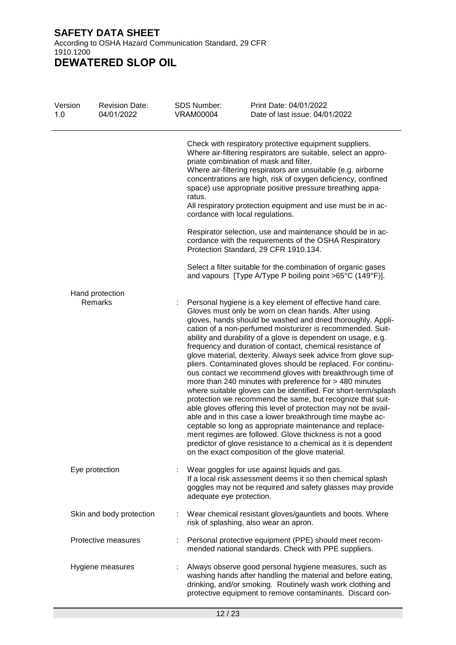| Version<br>1.0 | <b>Revision Date:</b><br>04/01/2022 | SDS Number:<br><b>VRAM00004</b> | Print Date: 04/01/2022<br>Date of last issue: 04/01/2022                                                                                                                                                                                                                                                                                                                                                                                                                                                                                                                                                                                                                                                                                                                                                                                                                                                                                                                                                                                                                                                                                           |
|----------------|-------------------------------------|---------------------------------|----------------------------------------------------------------------------------------------------------------------------------------------------------------------------------------------------------------------------------------------------------------------------------------------------------------------------------------------------------------------------------------------------------------------------------------------------------------------------------------------------------------------------------------------------------------------------------------------------------------------------------------------------------------------------------------------------------------------------------------------------------------------------------------------------------------------------------------------------------------------------------------------------------------------------------------------------------------------------------------------------------------------------------------------------------------------------------------------------------------------------------------------------|
|                |                                     | ratus.                          | Check with respiratory protective equipment suppliers.<br>Where air-filtering respirators are suitable, select an appro-<br>priate combination of mask and filter.<br>Where air-filtering respirators are unsuitable (e.g. airborne<br>concentrations are high, risk of oxygen deficiency, confined<br>space) use appropriate positive pressure breathing appa-<br>All respiratory protection equipment and use must be in ac-<br>cordance with local regulations.                                                                                                                                                                                                                                                                                                                                                                                                                                                                                                                                                                                                                                                                                 |
|                |                                     |                                 | Respirator selection, use and maintenance should be in ac-<br>cordance with the requirements of the OSHA Respiratory<br>Protection Standard, 29 CFR 1910.134.                                                                                                                                                                                                                                                                                                                                                                                                                                                                                                                                                                                                                                                                                                                                                                                                                                                                                                                                                                                      |
|                |                                     |                                 | Select a filter suitable for the combination of organic gases<br>and vapours [Type A/Type P boiling point >65°C (149°F)].                                                                                                                                                                                                                                                                                                                                                                                                                                                                                                                                                                                                                                                                                                                                                                                                                                                                                                                                                                                                                          |
|                | Hand protection<br>Remarks          |                                 | Personal hygiene is a key element of effective hand care.<br>Gloves must only be worn on clean hands. After using<br>gloves, hands should be washed and dried thoroughly. Appli-<br>cation of a non-perfumed moisturizer is recommended. Suit-<br>ability and durability of a glove is dependent on usage, e.g.<br>frequency and duration of contact, chemical resistance of<br>glove material, dexterity. Always seek advice from glove sup-<br>pliers. Contaminated gloves should be replaced. For continu-<br>ous contact we recommend gloves with breakthrough time of<br>more than 240 minutes with preference for > 480 minutes<br>where suitable gloves can be identified. For short-term/splash<br>protection we recommend the same, but recognize that suit-<br>able gloves offering this level of protection may not be avail-<br>able and in this case a lower breakthrough time maybe ac-<br>ceptable so long as appropriate maintenance and replace-<br>ment regimes are followed. Glove thickness is not a good<br>predictor of glove resistance to a chemical as it is dependent<br>on the exact composition of the glove material. |
|                | Eye protection                      | adequate eye protection.        | Wear goggles for use against liquids and gas.<br>If a local risk assessment deems it so then chemical splash<br>goggles may not be required and safety glasses may provide                                                                                                                                                                                                                                                                                                                                                                                                                                                                                                                                                                                                                                                                                                                                                                                                                                                                                                                                                                         |
|                | Skin and body protection            | t.                              | Wear chemical resistant gloves/gauntlets and boots. Where<br>risk of splashing, also wear an apron.                                                                                                                                                                                                                                                                                                                                                                                                                                                                                                                                                                                                                                                                                                                                                                                                                                                                                                                                                                                                                                                |
|                | Protective measures                 |                                 | Personal protective equipment (PPE) should meet recom-<br>mended national standards. Check with PPE suppliers.                                                                                                                                                                                                                                                                                                                                                                                                                                                                                                                                                                                                                                                                                                                                                                                                                                                                                                                                                                                                                                     |
|                | Hygiene measures                    |                                 | Always observe good personal hygiene measures, such as<br>washing hands after handling the material and before eating,<br>drinking, and/or smoking. Routinely wash work clothing and<br>protective equipment to remove contaminants. Discard con-                                                                                                                                                                                                                                                                                                                                                                                                                                                                                                                                                                                                                                                                                                                                                                                                                                                                                                  |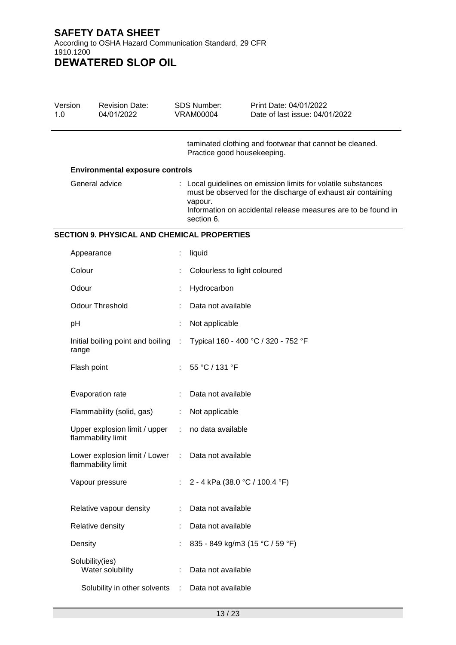| Version<br>1.0 | <b>Revision Date:</b><br>04/01/2022                   |           | SDS Number:<br><b>VRAM00004</b> | Print Date: 04/01/2022<br>Date of last issue: 04/01/2022                                                                                                                                       |
|----------------|-------------------------------------------------------|-----------|---------------------------------|------------------------------------------------------------------------------------------------------------------------------------------------------------------------------------------------|
|                |                                                       |           | Practice good housekeeping.     | taminated clothing and footwear that cannot be cleaned.                                                                                                                                        |
|                | <b>Environmental exposure controls</b>                |           |                                 |                                                                                                                                                                                                |
|                | General advice                                        |           | vapour.<br>section 6.           | : Local guidelines on emission limits for volatile substances<br>must be observed for the discharge of exhaust air containing<br>Information on accidental release measures are to be found in |
|                | <b>SECTION 9. PHYSICAL AND CHEMICAL PROPERTIES</b>    |           |                                 |                                                                                                                                                                                                |
|                | Appearance                                            |           | liquid                          |                                                                                                                                                                                                |
|                | Colour                                                |           | Colourless to light coloured    |                                                                                                                                                                                                |
|                | Odour                                                 |           | Hydrocarbon                     |                                                                                                                                                                                                |
|                | <b>Odour Threshold</b>                                |           | Data not available              |                                                                                                                                                                                                |
|                | pH                                                    |           | Not applicable                  |                                                                                                                                                                                                |
|                | Initial boiling point and boiling<br>range            | $\sim$ 10 |                                 | Typical 160 - 400 °C / 320 - 752 °F                                                                                                                                                            |
|                | Flash point                                           |           | 55 °C / 131 °F                  |                                                                                                                                                                                                |
|                | Evaporation rate                                      |           | Data not available              |                                                                                                                                                                                                |
|                | Flammability (solid, gas)                             | ÷         | Not applicable                  |                                                                                                                                                                                                |
|                | Upper explosion limit / upper<br>flammability limit   | ÷         | no data available               |                                                                                                                                                                                                |
|                | Lower explosion limit / Lower :<br>flammability limit |           | Data not available              |                                                                                                                                                                                                |
|                | Vapour pressure                                       |           | 2 - 4 kPa (38.0 °C / 100.4 °F)  |                                                                                                                                                                                                |
|                | Relative vapour density                               |           | Data not available              |                                                                                                                                                                                                |
|                | Relative density                                      |           | Data not available              |                                                                                                                                                                                                |
|                | Density                                               |           |                                 | 835 - 849 kg/m3 (15 °C / 59 °F)                                                                                                                                                                |
|                | Solubility(ies)<br>Water solubility                   |           | Data not available              |                                                                                                                                                                                                |
|                | Solubility in other solvents                          | ÷         | Data not available              |                                                                                                                                                                                                |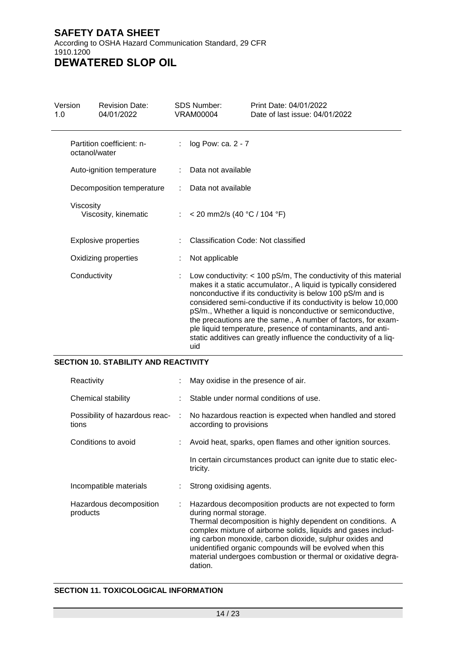**DEWATERED SLOP OIL**

| Version<br>1.0 | <b>Revision Date:</b><br>04/01/2022        |  | <b>SDS Number:</b><br>VRAM00004 | Print Date: 04/01/2022<br>Date of last issue: 04/01/2022                                                                                                                                                                                                                                                                                                                                                                                                                                                                                  |  |  |
|----------------|--------------------------------------------|--|---------------------------------|-------------------------------------------------------------------------------------------------------------------------------------------------------------------------------------------------------------------------------------------------------------------------------------------------------------------------------------------------------------------------------------------------------------------------------------------------------------------------------------------------------------------------------------------|--|--|
|                | Partition coefficient: n-<br>octanol/water |  | $log$ Pow: ca. $2 - 7$          |                                                                                                                                                                                                                                                                                                                                                                                                                                                                                                                                           |  |  |
|                | Auto-ignition temperature                  |  | Data not available              |                                                                                                                                                                                                                                                                                                                                                                                                                                                                                                                                           |  |  |
|                | Decomposition temperature                  |  | Data not available              |                                                                                                                                                                                                                                                                                                                                                                                                                                                                                                                                           |  |  |
| Viscosity      | Viscosity, kinematic                       |  | < 20 mm2/s (40 °C / 104 °F)     |                                                                                                                                                                                                                                                                                                                                                                                                                                                                                                                                           |  |  |
|                | <b>Explosive properties</b>                |  |                                 | Classification Code: Not classified                                                                                                                                                                                                                                                                                                                                                                                                                                                                                                       |  |  |
|                | Oxidizing properties                       |  | Not applicable                  |                                                                                                                                                                                                                                                                                                                                                                                                                                                                                                                                           |  |  |
| Conductivity   |                                            |  | uid                             | Low conductivity: $<$ 100 pS/m, The conductivity of this material<br>makes it a static accumulator., A liquid is typically considered<br>nonconductive if its conductivity is below 100 pS/m and is<br>considered semi-conductive if its conductivity is below 10,000<br>pS/m., Whether a liquid is nonconductive or semiconductive,<br>the precautions are the same., A number of factors, for exam-<br>ple liquid temperature, presence of contaminants, and anti-<br>static additives can greatly influence the conductivity of a liq- |  |  |

## **SECTION 10. STABILITY AND REACTIVITY**

| Reactivity                              |   | May oxidise in the presence of air.                                                                                                                                                                                                                                                                                                                                                                                  |
|-----------------------------------------|---|----------------------------------------------------------------------------------------------------------------------------------------------------------------------------------------------------------------------------------------------------------------------------------------------------------------------------------------------------------------------------------------------------------------------|
| Chemical stability                      |   | Stable under normal conditions of use.                                                                                                                                                                                                                                                                                                                                                                               |
| Possibility of hazardous reac-<br>tions | ÷ | No hazardous reaction is expected when handled and stored<br>according to provisions                                                                                                                                                                                                                                                                                                                                 |
| Conditions to avoid                     |   | Avoid heat, sparks, open flames and other ignition sources.                                                                                                                                                                                                                                                                                                                                                          |
|                                         |   | In certain circumstances product can ignite due to static elec-<br>tricity.                                                                                                                                                                                                                                                                                                                                          |
| Incompatible materials                  |   | Strong oxidising agents.                                                                                                                                                                                                                                                                                                                                                                                             |
| Hazardous decomposition<br>products     |   | Hazardous decomposition products are not expected to form<br>during normal storage.<br>Thermal decomposition is highly dependent on conditions. A<br>complex mixture of airborne solids, liquids and gases includ-<br>ing carbon monoxide, carbon dioxide, sulphur oxides and<br>unidentified organic compounds will be evolved when this<br>material undergoes combustion or thermal or oxidative degra-<br>dation. |

## **SECTION 11. TOXICOLOGICAL INFORMATION**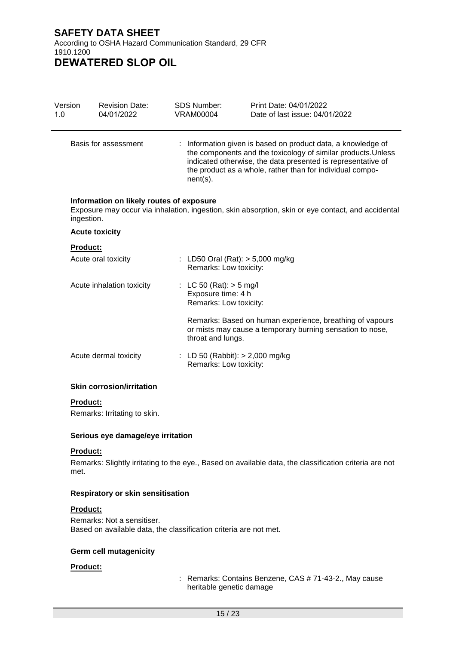Version 1.0 Revision Date: 04/01/2022 SDS Number: VRAM00004 Print Date: 04/01/2022 Date of last issue: 04/01/2022 Basis for assessment : Information given is based on product data, a knowledge of the components and the toxicology of similar products.Unless indicated otherwise, the data presented is representative of the product as a whole, rather than for individual component(s). **Information on likely routes of exposure** Exposure may occur via inhalation, ingestion, skin absorption, skin or eye contact, and accidental ingestion. **Acute toxicity Product:** Acute oral toxicity : LD50 Oral (Rat): > 5,000 mg/kg Remarks: Low toxicity: Acute inhalation toxicity : LC 50 (Rat): > 5 mg/l Exposure time: 4 h Remarks: Low toxicity: Remarks: Based on human experience, breathing of vapours or mists may cause a temporary burning sensation to nose, throat and lungs. Acute dermal toxicity : LD 50 (Rabbit): > 2,000 mg/kg Remarks: Low toxicity:

#### **Skin corrosion/irritation**

#### **Product:**

Remarks: Irritating to skin.

#### **Serious eye damage/eye irritation**

#### **Product:**

Remarks: Slightly irritating to the eye., Based on available data, the classification criteria are not met.

#### **Respiratory or skin sensitisation**

#### **Product:**

Remarks: Not a sensitiser. Based on available data, the classification criteria are not met.

#### **Germ cell mutagenicity**

#### **Product:**

: Remarks: Contains Benzene, CAS # 71-43-2., May cause heritable genetic damage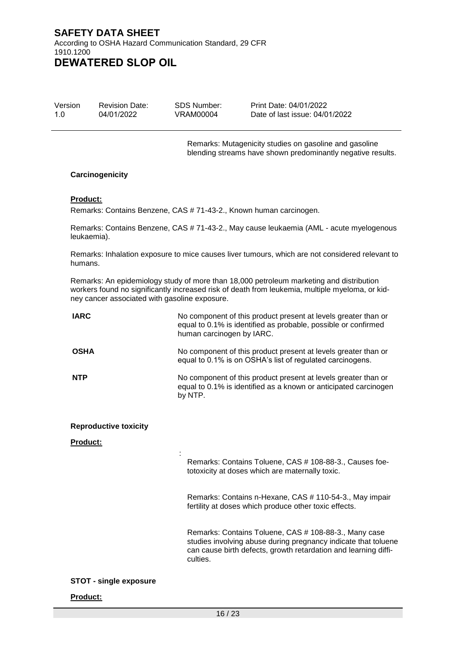Version 1.0 Revision Date: 04/01/2022

SDS Number: VRAM00004

Print Date: 04/01/2022 Date of last issue: 04/01/2022

Remarks: Mutagenicity studies on gasoline and gasoline blending streams have shown predominantly negative results.

#### **Carcinogenicity**

#### **Product:**

Remarks: Contains Benzene, CAS # 71-43-2., Known human carcinogen.

Remarks: Contains Benzene, CAS # 71-43-2., May cause leukaemia (AML - acute myelogenous leukaemia).

Remarks: Inhalation exposure to mice causes liver tumours, which are not considered relevant to humans.

Remarks: An epidemiology study of more than 18,000 petroleum marketing and distribution workers found no significantly increased risk of death from leukemia, multiple myeloma, or kidney cancer associated with gasoline exposure.

| <b>IARC</b>                   | No component of this product present at levels greater than or<br>equal to 0.1% is identified as probable, possible or confirmed<br>human carcinogen by IARC.                                          |
|-------------------------------|--------------------------------------------------------------------------------------------------------------------------------------------------------------------------------------------------------|
| <b>OSHA</b>                   | No component of this product present at levels greater than or<br>equal to 0.1% is on OSHA's list of regulated carcinogens.                                                                            |
| <b>NTP</b>                    | No component of this product present at levels greater than or<br>equal to 0.1% is identified as a known or anticipated carcinogen<br>by NTP.                                                          |
| <b>Reproductive toxicity</b>  |                                                                                                                                                                                                        |
| <b>Product:</b>               |                                                                                                                                                                                                        |
|                               | Remarks: Contains Toluene, CAS # 108-88-3., Causes foe-<br>totoxicity at doses which are maternally toxic.                                                                                             |
|                               | Remarks: Contains n-Hexane, CAS # 110-54-3., May impair<br>fertility at doses which produce other toxic effects.                                                                                       |
|                               | Remarks: Contains Toluene, CAS # 108-88-3., Many case<br>studies involving abuse during pregnancy indicate that toluene<br>can cause birth defects, growth retardation and learning diffi-<br>culties. |
| <b>STOT - single exposure</b> |                                                                                                                                                                                                        |
| <b>Product:</b>               |                                                                                                                                                                                                        |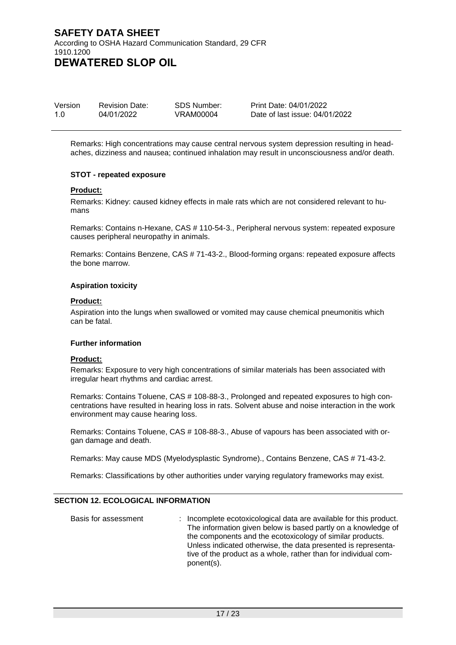| Version | <b>Revision Date:</b> | SDS Number: | Print Date: 04/01/2022         |
|---------|-----------------------|-------------|--------------------------------|
| 1.0     | 04/01/2022            | VRAM00004   | Date of last issue: 04/01/2022 |

Remarks: High concentrations may cause central nervous system depression resulting in headaches, dizziness and nausea; continued inhalation may result in unconsciousness and/or death.

#### **STOT - repeated exposure**

#### **Product:**

Remarks: Kidney: caused kidney effects in male rats which are not considered relevant to humans

Remarks: Contains n-Hexane, CAS # 110-54-3., Peripheral nervous system: repeated exposure causes peripheral neuropathy in animals.

Remarks: Contains Benzene, CAS # 71-43-2., Blood-forming organs: repeated exposure affects the bone marrow.

#### **Aspiration toxicity**

#### **Product:**

Aspiration into the lungs when swallowed or vomited may cause chemical pneumonitis which can be fatal.

#### **Further information**

#### **Product:**

Remarks: Exposure to very high concentrations of similar materials has been associated with irregular heart rhythms and cardiac arrest.

Remarks: Contains Toluene, CAS # 108-88-3., Prolonged and repeated exposures to high concentrations have resulted in hearing loss in rats. Solvent abuse and noise interaction in the work environment may cause hearing loss.

Remarks: Contains Toluene, CAS # 108-88-3., Abuse of vapours has been associated with organ damage and death.

Remarks: May cause MDS (Myelodysplastic Syndrome)., Contains Benzene, CAS # 71-43-2.

Remarks: Classifications by other authorities under varying regulatory frameworks may exist.

#### **SECTION 12. ECOLOGICAL INFORMATION**

| Basis for assessment | : Incomplete ecotoxicological data are available for this product.<br>The information given below is based partly on a knowledge of<br>the components and the ecotoxicology of similar products.<br>Unless indicated otherwise, the data presented is representa-<br>tive of the product as a whole, rather than for individual com- |
|----------------------|--------------------------------------------------------------------------------------------------------------------------------------------------------------------------------------------------------------------------------------------------------------------------------------------------------------------------------------|
|                      | ponent(s).                                                                                                                                                                                                                                                                                                                           |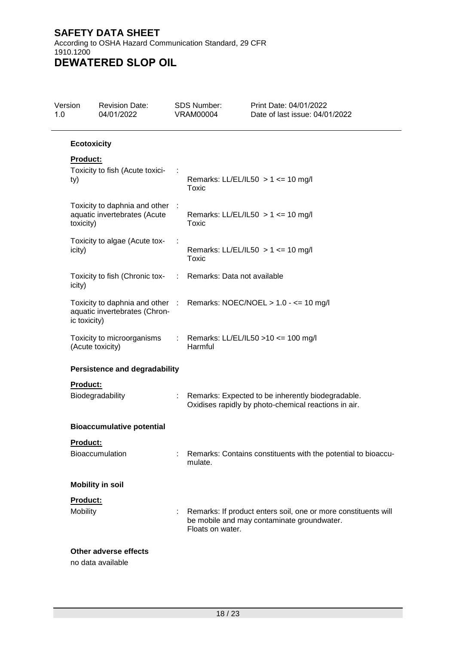| Version            | <b>Revision Date:</b><br>04/01/2022                             |   | <b>SDS Number:</b><br><b>VRAM00004</b>            | Print Date: 04/01/2022<br>Date of last issue: 04/01/2022                                                     |
|--------------------|-----------------------------------------------------------------|---|---------------------------------------------------|--------------------------------------------------------------------------------------------------------------|
| <b>Ecotoxicity</b> |                                                                 |   |                                                   |                                                                                                              |
| <b>Product:</b>    |                                                                 |   |                                                   |                                                                                                              |
| ty)                | Toxicity to fish (Acute toxici-                                 |   | Toxic                                             | Remarks: LL/EL/IL50 $> 1$ <= 10 mg/l                                                                         |
| toxicity)          | Toxicity to daphnia and other :<br>aquatic invertebrates (Acute |   | Toxic                                             | Remarks: LL/EL/IL50 $> 1$ <= 10 mg/l                                                                         |
| icity)             | Toxicity to algae (Acute tox-                                   |   | Remarks: LL/EL/IL50 $> 1$ <= 10 mg/l<br>Toxic     |                                                                                                              |
| icity)             | Toxicity to fish (Chronic tox-                                  | ÷ | Remarks: Data not available                       |                                                                                                              |
| ic toxicity)       | aquatic invertebrates (Chron-                                   |   |                                                   | Toxicity to daphnia and other : Remarks: NOEC/NOEL > 1.0 - <= 10 mg/l                                        |
|                    | Toxicity to microorganisms<br>(Acute toxicity)                  |   | : Remarks: LL/EL/IL50 > 10 <= 100 mg/l<br>Harmful |                                                                                                              |
|                    | <b>Persistence and degradability</b>                            |   |                                                   |                                                                                                              |
| <b>Product:</b>    |                                                                 |   |                                                   |                                                                                                              |
|                    | Biodegradability                                                |   |                                                   | Remarks: Expected to be inherently biodegradable.<br>Oxidises rapidly by photo-chemical reactions in air.    |
|                    | <b>Bioaccumulative potential</b>                                |   |                                                   |                                                                                                              |
| Product:           |                                                                 |   |                                                   |                                                                                                              |
|                    | <b>Bioaccumulation</b>                                          |   | mulate.                                           | Remarks: Contains constituents with the potential to bioaccu-                                                |
|                    | <b>Mobility in soil</b>                                         |   |                                                   |                                                                                                              |
| Product:           |                                                                 |   |                                                   |                                                                                                              |
| Mobility           |                                                                 |   | Floats on water.                                  | Remarks: If product enters soil, one or more constituents will<br>be mobile and may contaminate groundwater. |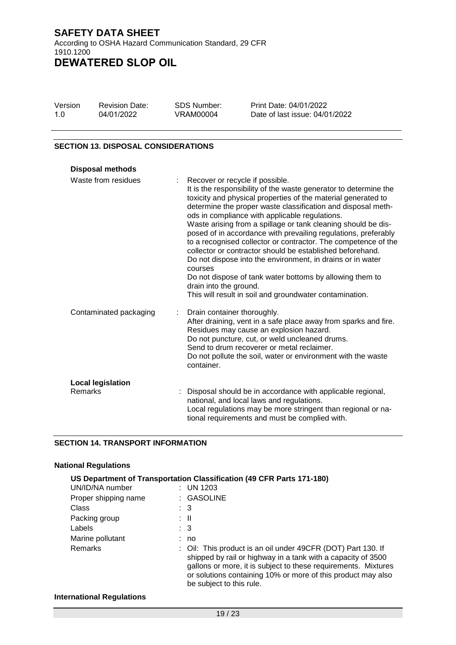| Version | <b>Revision Date:</b> | <b>SDS Number:</b> | Print Date: 04/01/2022         |
|---------|-----------------------|--------------------|--------------------------------|
| 1.0     | 04/01/2022            | VRAM00004          | Date of last issue: 04/01/2022 |

#### **SECTION 13. DISPOSAL CONSIDERATIONS**

| <b>Disposal methods</b>             |                                                                                                                                                                                                                                                                                                                                                                                                                                                                                                                                                                                                                                                                                                                                                                                    |
|-------------------------------------|------------------------------------------------------------------------------------------------------------------------------------------------------------------------------------------------------------------------------------------------------------------------------------------------------------------------------------------------------------------------------------------------------------------------------------------------------------------------------------------------------------------------------------------------------------------------------------------------------------------------------------------------------------------------------------------------------------------------------------------------------------------------------------|
| Waste from residues                 | Recover or recycle if possible.<br>It is the responsibility of the waste generator to determine the<br>toxicity and physical properties of the material generated to<br>determine the proper waste classification and disposal meth-<br>ods in compliance with applicable regulations.<br>Waste arising from a spillage or tank cleaning should be dis-<br>posed of in accordance with prevailing regulations, preferably<br>to a recognised collector or contractor. The competence of the<br>collector or contractor should be established beforehand.<br>Do not dispose into the environment, in drains or in water<br>courses<br>Do not dispose of tank water bottoms by allowing them to<br>drain into the ground.<br>This will result in soil and groundwater contamination. |
| Contaminated packaging              | Drain container thoroughly.<br>After draining, vent in a safe place away from sparks and fire.<br>Residues may cause an explosion hazard.<br>Do not puncture, cut, or weld uncleaned drums.<br>Send to drum recoverer or metal reclaimer.<br>Do not pollute the soil, water or environment with the waste<br>container.                                                                                                                                                                                                                                                                                                                                                                                                                                                            |
| <b>Local legislation</b><br>Remarks | Disposal should be in accordance with applicable regional,<br>national, and local laws and regulations.<br>Local regulations may be more stringent than regional or na-<br>tional requirements and must be complied with.                                                                                                                                                                                                                                                                                                                                                                                                                                                                                                                                                          |

#### **SECTION 14. TRANSPORT INFORMATION**

#### **National Regulations**

|                      | US Department of Transportation Classification (49 CFR Parts 171-180)                                                                                                                                                                                                                      |
|----------------------|--------------------------------------------------------------------------------------------------------------------------------------------------------------------------------------------------------------------------------------------------------------------------------------------|
| UN/ID/NA number      | $:$ UN 1203                                                                                                                                                                                                                                                                                |
| Proper shipping name | : GASOLINE                                                                                                                                                                                                                                                                                 |
| Class                | $\therefore$ 3                                                                                                                                                                                                                                                                             |
| Packing group        | : II                                                                                                                                                                                                                                                                                       |
| Labels               | $\therefore$ 3                                                                                                                                                                                                                                                                             |
| Marine pollutant     | : no                                                                                                                                                                                                                                                                                       |
| <b>Remarks</b>       | : Oil: This product is an oil under 49CFR (DOT) Part 130. If<br>shipped by rail or highway in a tank with a capacity of 3500<br>gallons or more, it is subject to these requirements. Mixtures<br>or solutions containing 10% or more of this product may also<br>be subject to this rule. |

#### **International Regulations**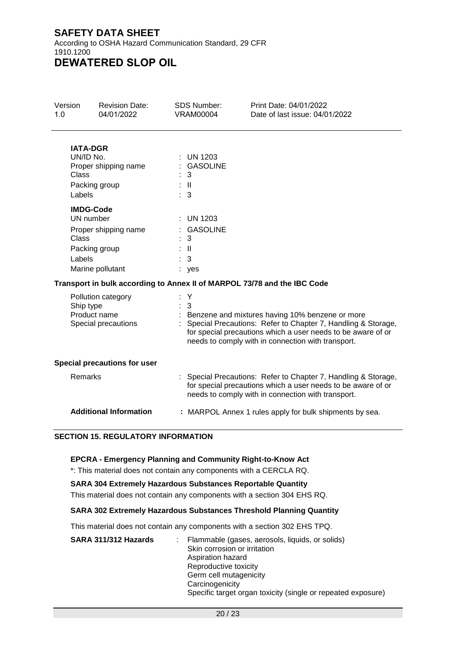According to OSHA Hazard Communication Standard, 29 CFR 1910.1200 **DEWATERED SLOP OIL**

Version 1.0 Revision Date: 04/01/2022 SDS Number: VRAM00004 Print Date: 04/01/2022 Date of last issue: 04/01/2022 **IATA-DGR**  $\therefore$  UN 1203 Proper shipping name : GASOLINE<br>Class : 3 Class Packing group : II Labels : 3

## **IMDG-Code**

| UN number            | $:$ UN 1203    |
|----------------------|----------------|
| Proper shipping name | : GASOLINE     |
| Class                | : 3            |
| Packing group        | : II           |
| Labels               | $\therefore$ 3 |
| Marine pollutant     | : yes          |

# **Transport in bulk according to Annex II of MARPOL 73/78 and the IBC Code**

| Pollution category<br>Ship type<br>Product name<br>Special precautions | : Y<br>: 3<br>: Benzene and mixtures having 10% benzene or more<br>: Special Precautions: Refer to Chapter 7, Handling & Storage,<br>for special precautions which a user needs to be aware of or<br>needs to comply with in connection with transport. |
|------------------------------------------------------------------------|---------------------------------------------------------------------------------------------------------------------------------------------------------------------------------------------------------------------------------------------------------|
| <b>Special precautions for user</b>                                    |                                                                                                                                                                                                                                                         |
| Remarks                                                                | : Special Precautions: Refer to Chapter 7, Handling & Storage,<br>for special precautions which a user needs to be aware of or<br>needs to comply with in connection with transport.                                                                    |
| <b>Additional Information</b>                                          | : MARPOL Annex 1 rules apply for bulk shipments by sea.                                                                                                                                                                                                 |

# **SECTION 15. REGULATORY INFORMATION**

#### **EPCRA - Emergency Planning and Community Right-to-Know Act**

\*: This material does not contain any components with a CERCLA RQ.

#### **SARA 304 Extremely Hazardous Substances Reportable Quantity**

This material does not contain any components with a section 304 EHS RQ.

# **SARA 302 Extremely Hazardous Substances Threshold Planning Quantity**

This material does not contain any components with a section 302 EHS TPQ.

| SARA 311/312 Hazards | Flammable (gases, aerosols, liquids, or solids)              |
|----------------------|--------------------------------------------------------------|
|                      | Skin corrosion or irritation                                 |
|                      | Aspiration hazard                                            |
|                      | Reproductive toxicity                                        |
|                      | Germ cell mutagenicity                                       |
|                      | Carcinogenicity                                              |
|                      | Specific target organ toxicity (single or repeated exposure) |
|                      |                                                              |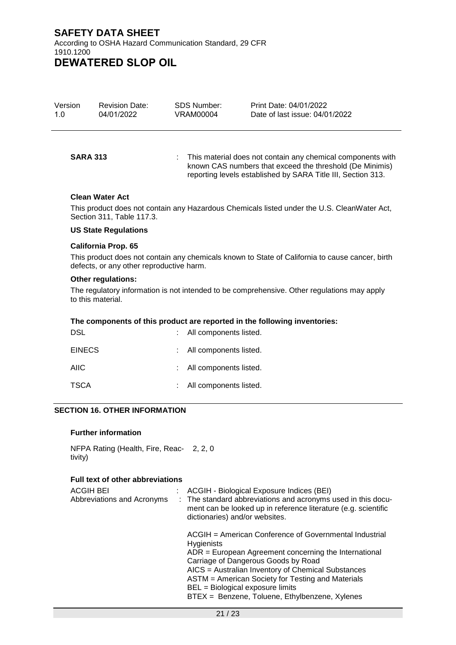| Version | <b>Revision Date:</b> | SDS Number: | Print Date: 04/01/2022         |
|---------|-----------------------|-------------|--------------------------------|
| 1.0     | 04/01/2022            | VRAM00004   | Date of last issue: 04/01/2022 |

**SARA 313** : This material does not contain any chemical components with known CAS numbers that exceed the threshold (De Minimis) reporting levels established by SARA Title III, Section 313.

#### **Clean Water Act**

This product does not contain any Hazardous Chemicals listed under the U.S. CleanWater Act, Section 311, Table 117.3.

#### **US State Regulations**

#### **California Prop. 65**

This product does not contain any chemicals known to State of California to cause cancer, birth defects, or any other reproductive harm.

#### **Other regulations:**

The regulatory information is not intended to be comprehensive. Other regulations may apply to this material.

#### **The components of this product are reported in the following inventories:**

| <b>DSL</b>    | : All components listed. |
|---------------|--------------------------|
| <b>EINECS</b> | : All components listed. |
| AIIC          | : All components listed. |
| <b>TSCA</b>   | : All components listed. |

#### **SECTION 16. OTHER INFORMATION**

#### **Further information**

NFPA Rating (Health, Fire, Reac-2, 2, 0 tivity)

#### **Full text of other abbreviations**

| ACGIH BEI<br>Abbreviations and Acronyms | : ACGIH - Biological Exposure Indices (BEI)<br>: The standard abbreviations and acronyms used in this docu-<br>ment can be looked up in reference literature (e.g. scientific<br>dictionaries) and/or websites.                                                                                                                                                                |
|-----------------------------------------|--------------------------------------------------------------------------------------------------------------------------------------------------------------------------------------------------------------------------------------------------------------------------------------------------------------------------------------------------------------------------------|
|                                         | ACGIH = American Conference of Governmental Industrial<br><b>Hygienists</b><br>$ADR = European Agreement concerning the International$<br>Carriage of Dangerous Goods by Road<br>AICS = Australian Inventory of Chemical Substances<br>ASTM = American Society for Testing and Materials<br>BEL = Biological exposure limits<br>BTEX = Benzene, Toluene, Ethylbenzene, Xylenes |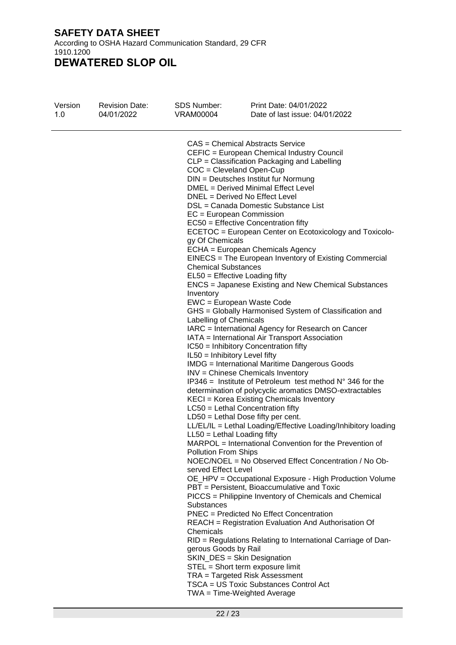According to OSHA Hazard Communication Standard, 29 CFR 1910.1200

| <b>Revision Date:</b><br>04/01/2022 | <b>SDS Number:</b><br><b>VRAM00004</b>      | Print Date: 04/01/2022<br>Date of last issue: 04/01/2022                                                                                                                                                                                                                                                                                                                                                                                                                                                                                                                                                                                                                                                                                                                                                                                                                                                                                                                                                                                                                                                                                                                                                                                                                                                                                                                                                                                                                                                                                                                                                                                                                                                                                                                                                                                                                                               |
|-------------------------------------|---------------------------------------------|--------------------------------------------------------------------------------------------------------------------------------------------------------------------------------------------------------------------------------------------------------------------------------------------------------------------------------------------------------------------------------------------------------------------------------------------------------------------------------------------------------------------------------------------------------------------------------------------------------------------------------------------------------------------------------------------------------------------------------------------------------------------------------------------------------------------------------------------------------------------------------------------------------------------------------------------------------------------------------------------------------------------------------------------------------------------------------------------------------------------------------------------------------------------------------------------------------------------------------------------------------------------------------------------------------------------------------------------------------------------------------------------------------------------------------------------------------------------------------------------------------------------------------------------------------------------------------------------------------------------------------------------------------------------------------------------------------------------------------------------------------------------------------------------------------------------------------------------------------------------------------------------------------|
|                                     | Inventory<br><b>Substances</b><br>Chemicals | <b>CAS</b> = Chemical Abstracts Service<br>CEFIC = European Chemical Industry Council<br>CLP = Classification Packaging and Labelling<br>$COC = Cleveland Open-Cup$<br>DIN = Deutsches Institut fur Normung<br>DMEL = Derived Minimal Effect Level<br>DNEL = Derived No Effect Level<br>DSL = Canada Domestic Substance List<br>$EC = European Commission$<br>$EC50 =$ Effective Concentration fifty<br>ECETOC = European Center on Ecotoxicology and Toxicolo-<br>ECHA = European Chemicals Agency<br>EINECS = The European Inventory of Existing Commercial<br>$EL50 = E$ ffective Loading fifty<br><b>ENCS</b> = Japanese Existing and New Chemical Substances<br>EWC = European Waste Code<br>GHS = Globally Harmonised System of Classification and<br>IARC = International Agency for Research on Cancer<br>IATA = International Air Transport Association<br>IC50 = Inhibitory Concentration fifty<br><b>IMDG</b> = International Maritime Dangerous Goods<br>INV = Chinese Chemicals Inventory<br>$IP346$ = Institute of Petroleum test method $N^{\circ}$ 346 for the<br>determination of polycyclic aromatics DMSO-extractables<br>KECI = Korea Existing Chemicals Inventory<br>$LC50$ = Lethal Concentration fifty<br>LD50 = Lethal Dose fifty per cent.<br>LL/EL/IL = Lethal Loading/Effective Loading/Inhibitory loading<br>MARPOL = International Convention for the Prevention of<br>NOEC/NOEL = No Observed Effect Concentration / No Ob-<br>OE_HPV = Occupational Exposure - High Production Volume<br>PBT = Persistent, Bioaccumulative and Toxic<br>PICCS = Philippine Inventory of Chemicals and Chemical<br>PNEC = Predicted No Effect Concentration<br>REACH = Registration Evaluation And Authorisation Of<br>RID = Regulations Relating to International Carriage of Dan-<br>SKIN_DES = Skin Designation<br>STEL = Short term exposure limit<br>TRA = Targeted Risk Assessment |
|                                     |                                             | TSCA = US Toxic Substances Control Act<br>$TWA = Time-Weighted Average$                                                                                                                                                                                                                                                                                                                                                                                                                                                                                                                                                                                                                                                                                                                                                                                                                                                                                                                                                                                                                                                                                                                                                                                                                                                                                                                                                                                                                                                                                                                                                                                                                                                                                                                                                                                                                                |
|                                     |                                             | gy Of Chemicals<br><b>Chemical Substances</b><br>Labelling of Chemicals<br>IL50 = Inhibitory Level fifty<br>$LL50 = Lethal$ Loading fifty<br><b>Pollution From Ships</b><br>served Effect Level<br>gerous Goods by Rail                                                                                                                                                                                                                                                                                                                                                                                                                                                                                                                                                                                                                                                                                                                                                                                                                                                                                                                                                                                                                                                                                                                                                                                                                                                                                                                                                                                                                                                                                                                                                                                                                                                                                |